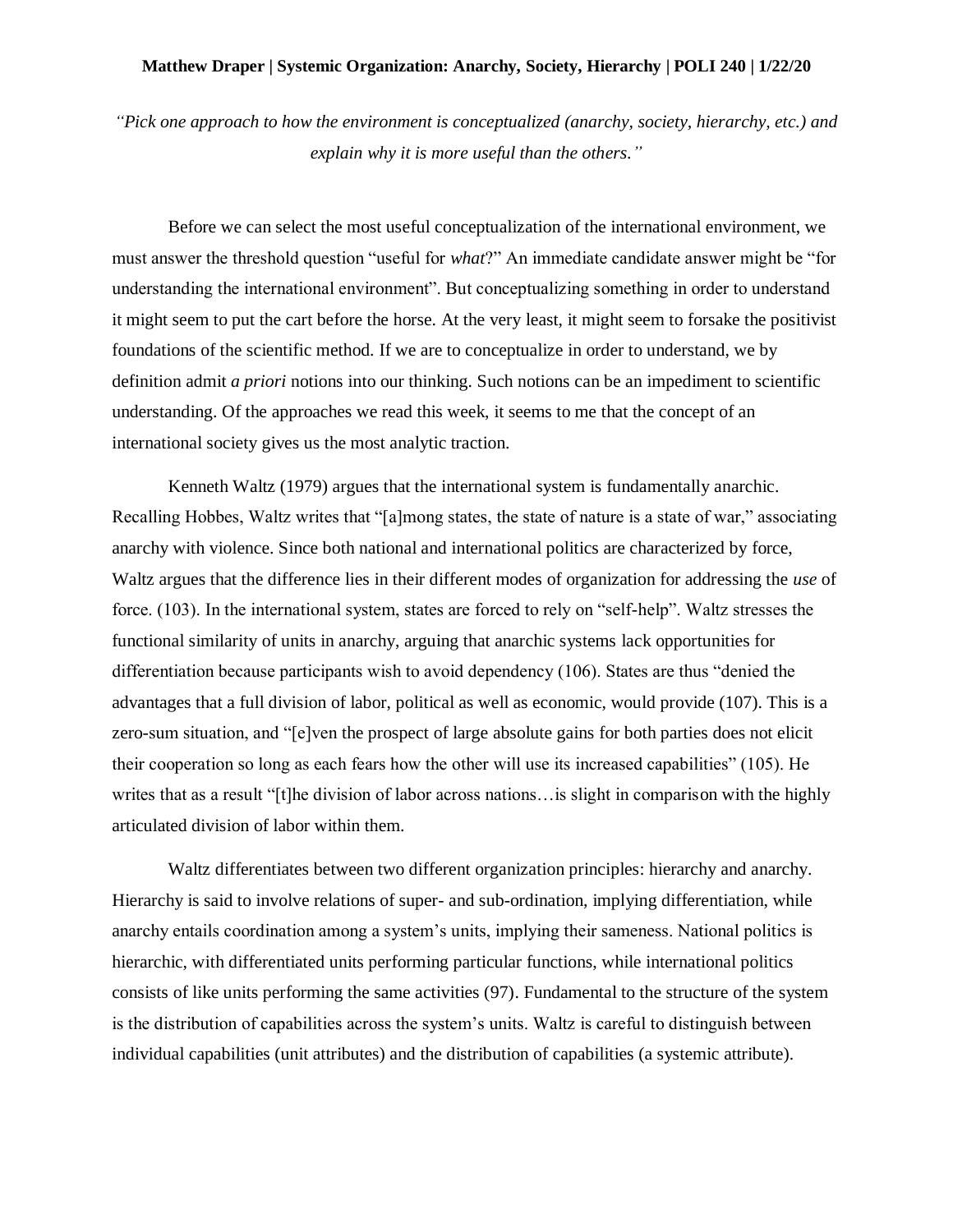## **Matthew Draper | Systemic Organization: Anarchy, Society, Hierarchy | POLI 240 | 1/22/20**

*"Pick one approach to how the environment is conceptualized (anarchy, society, hierarchy, etc.) and explain why it is more useful than the others."*

Before we can select the most useful conceptualization of the international environment, we must answer the threshold question "useful for *what*?" An immediate candidate answer might be "for understanding the international environment". But conceptualizing something in order to understand it might seem to put the cart before the horse. At the very least, it might seem to forsake the positivist foundations of the scientific method. If we are to conceptualize in order to understand, we by definition admit *a priori* notions into our thinking. Such notions can be an impediment to scientific understanding. Of the approaches we read this week, it seems to me that the concept of an international society gives us the most analytic traction.

Kenneth Waltz (1979) argues that the international system is fundamentally anarchic. Recalling Hobbes, Waltz writes that "[a]mong states, the state of nature is a state of war," associating anarchy with violence. Since both national and international politics are characterized by force, Waltz argues that the difference lies in their different modes of organization for addressing the *use* of force. (103). In the international system, states are forced to rely on "self-help". Waltz stresses the functional similarity of units in anarchy, arguing that anarchic systems lack opportunities for differentiation because participants wish to avoid dependency (106). States are thus "denied the advantages that a full division of labor, political as well as economic, would provide (107). This is a zero-sum situation, and "[e]ven the prospect of large absolute gains for both parties does not elicit their cooperation so long as each fears how the other will use its increased capabilities" (105). He writes that as a result "[t]he division of labor across nations…is slight in comparison with the highly articulated division of labor within them.

Waltz differentiates between two different organization principles: hierarchy and anarchy. Hierarchy is said to involve relations of super- and sub-ordination, implying differentiation, while anarchy entails coordination among a system's units, implying their sameness. National politics is hierarchic, with differentiated units performing particular functions, while international politics consists of like units performing the same activities (97). Fundamental to the structure of the system is the distribution of capabilities across the system's units. Waltz is careful to distinguish between individual capabilities (unit attributes) and the distribution of capabilities (a systemic attribute).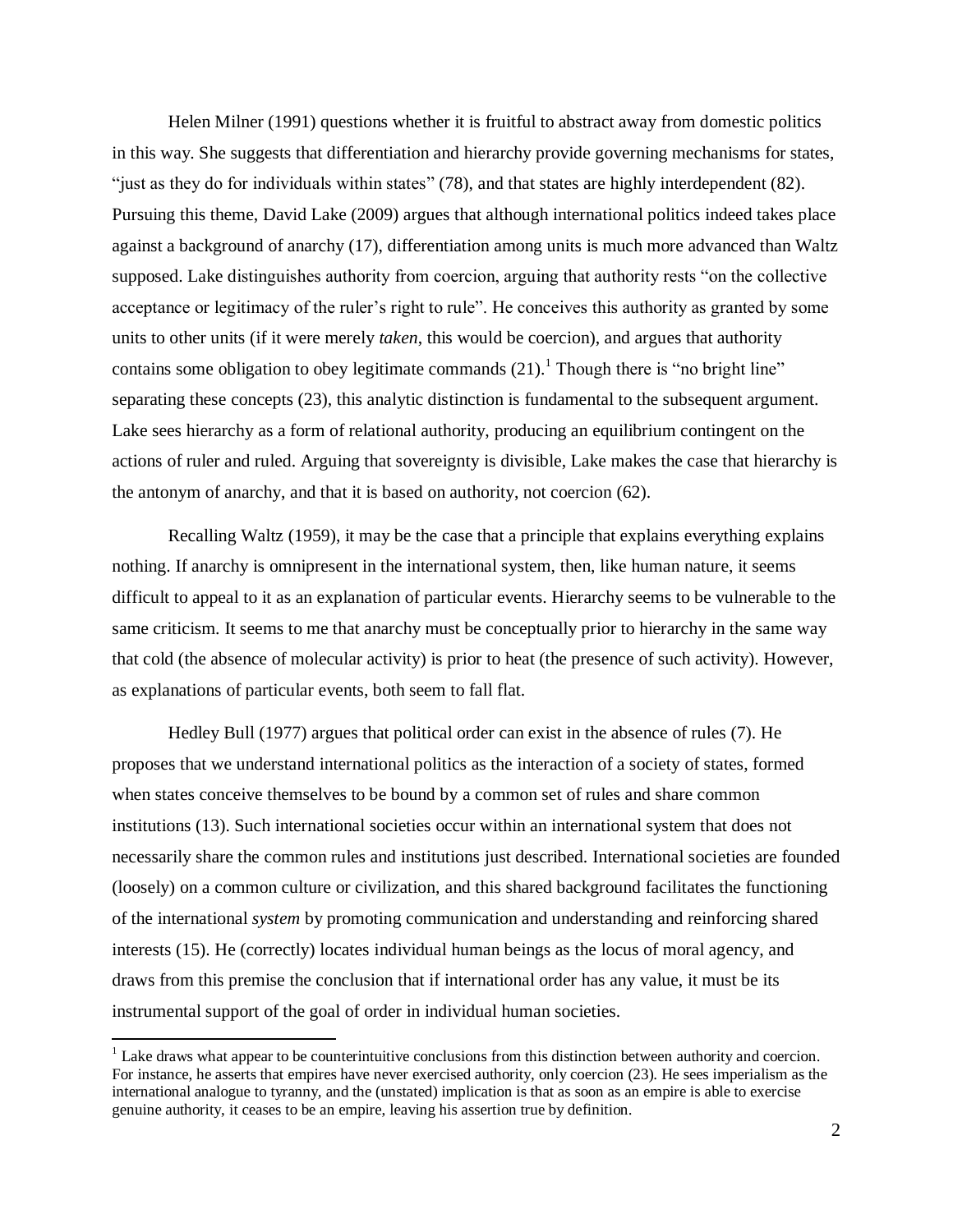Helen Milner (1991) questions whether it is fruitful to abstract away from domestic politics in this way. She suggests that differentiation and hierarchy provide governing mechanisms for states, "just as they do for individuals within states" (78), and that states are highly interdependent (82). Pursuing this theme, David Lake (2009) argues that although international politics indeed takes place against a background of anarchy (17), differentiation among units is much more advanced than Waltz supposed. Lake distinguishes authority from coercion, arguing that authority rests "on the collective acceptance or legitimacy of the ruler's right to rule". He conceives this authority as granted by some units to other units (if it were merely *taken*, this would be coercion), and argues that authority contains some obligation to obey legitimate commands  $(21)$ .<sup>1</sup> Though there is "no bright line" separating these concepts (23), this analytic distinction is fundamental to the subsequent argument. Lake sees hierarchy as a form of relational authority, producing an equilibrium contingent on the actions of ruler and ruled. Arguing that sovereignty is divisible, Lake makes the case that hierarchy is the antonym of anarchy, and that it is based on authority, not coercion (62).

Recalling Waltz (1959), it may be the case that a principle that explains everything explains nothing. If anarchy is omnipresent in the international system, then, like human nature, it seems difficult to appeal to it as an explanation of particular events. Hierarchy seems to be vulnerable to the same criticism. It seems to me that anarchy must be conceptually prior to hierarchy in the same way that cold (the absence of molecular activity) is prior to heat (the presence of such activity). However, as explanations of particular events, both seem to fall flat.

Hedley Bull (1977) argues that political order can exist in the absence of rules (7). He proposes that we understand international politics as the interaction of a society of states, formed when states conceive themselves to be bound by a common set of rules and share common institutions (13). Such international societies occur within an international system that does not necessarily share the common rules and institutions just described. International societies are founded (loosely) on a common culture or civilization, and this shared background facilitates the functioning of the international *system* by promoting communication and understanding and reinforcing shared interests (15). He (correctly) locates individual human beings as the locus of moral agency, and draws from this premise the conclusion that if international order has any value, it must be its instrumental support of the goal of order in individual human societies.

 $\overline{a}$ 

<sup>&</sup>lt;sup>1</sup> Lake draws what appear to be counterintuitive conclusions from this distinction between authority and coercion. For instance, he asserts that empires have never exercised authority, only coercion (23). He sees imperialism as the international analogue to tyranny, and the (unstated) implication is that as soon as an empire is able to exercise genuine authority, it ceases to be an empire, leaving his assertion true by definition.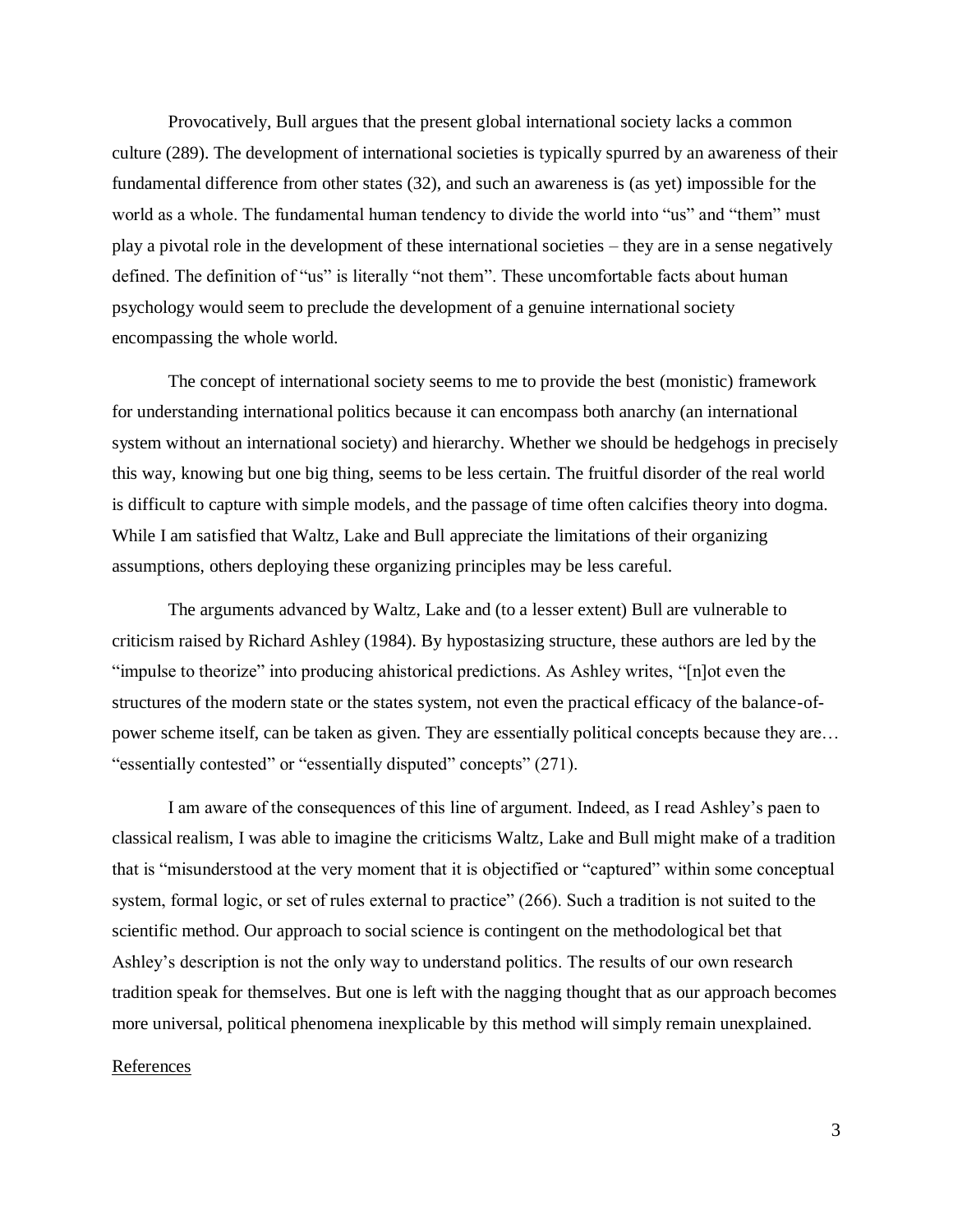Provocatively, Bull argues that the present global international society lacks a common culture (289). The development of international societies is typically spurred by an awareness of their fundamental difference from other states (32), and such an awareness is (as yet) impossible for the world as a whole. The fundamental human tendency to divide the world into "us" and "them" must play a pivotal role in the development of these international societies – they are in a sense negatively defined. The definition of "us" is literally "not them". These uncomfortable facts about human psychology would seem to preclude the development of a genuine international society encompassing the whole world.

The concept of international society seems to me to provide the best (monistic) framework for understanding international politics because it can encompass both anarchy (an international system without an international society) and hierarchy. Whether we should be hedgehogs in precisely this way, knowing but one big thing, seems to be less certain. The fruitful disorder of the real world is difficult to capture with simple models, and the passage of time often calcifies theory into dogma. While I am satisfied that Waltz, Lake and Bull appreciate the limitations of their organizing assumptions, others deploying these organizing principles may be less careful.

The arguments advanced by Waltz, Lake and (to a lesser extent) Bull are vulnerable to criticism raised by Richard Ashley (1984). By hypostasizing structure, these authors are led by the "impulse to theorize" into producing ahistorical predictions. As Ashley writes, "[n]ot even the structures of the modern state or the states system, not even the practical efficacy of the balance-ofpower scheme itself, can be taken as given. They are essentially political concepts because they are… "essentially contested" or "essentially disputed" concepts" (271).

I am aware of the consequences of this line of argument. Indeed, as I read Ashley's paen to classical realism, I was able to imagine the criticisms Waltz, Lake and Bull might make of a tradition that is "misunderstood at the very moment that it is objectified or "captured" within some conceptual system, formal logic, or set of rules external to practice" (266). Such a tradition is not suited to the scientific method. Our approach to social science is contingent on the methodological bet that Ashley's description is not the only way to understand politics. The results of our own research tradition speak for themselves. But one is left with the nagging thought that as our approach becomes more universal, political phenomena inexplicable by this method will simply remain unexplained.

## References